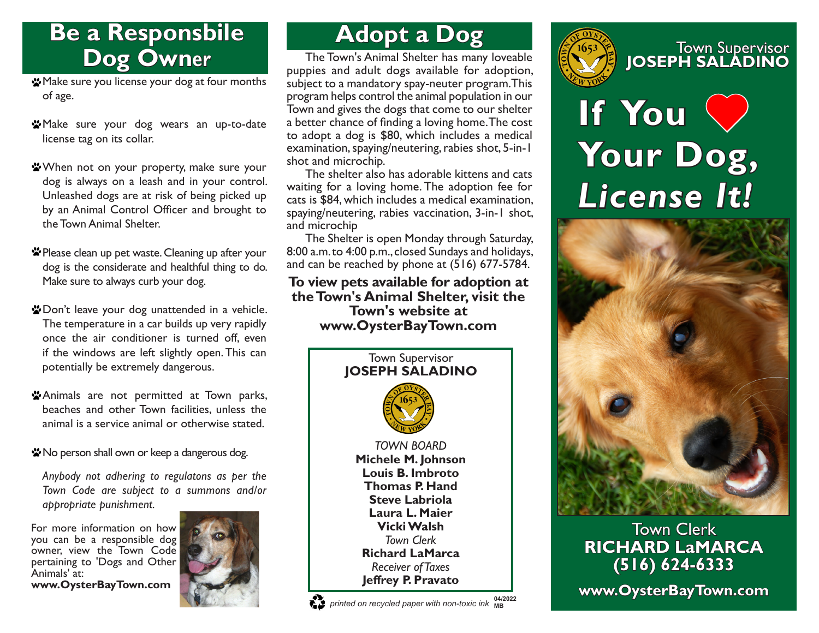# **Be a Responsbile Dog Owner**

- Make sure you license your dog at four months of age.
- **W** Make sure your dog wears an up-to-date license tag on its collar.
- When not on your property, make sure your dog is always on a leash and in your control. Unleashed dogs are at risk of being picked up by an Animal Control Officer and brought to the Town Animal Shelter.
- \* Please clean up pet waste. Cleaning up after your dog is the considerate and healthful thing to do. Make sure to always curb your dog.
- \* Don't leave your dog unattended in a vehicle. The temperature in a car builds up very rapidly once the air conditioner is turned off, even if the windows are left slightly open. This can potentially be extremely dangerous.
- \*Animals are not permitted at Town parks, beaches and other Town facilities, unless the animal is a service animal or otherwise stated.
- \* No person shall own or keep a dangerous dog.

*Anybody not adhering to regulatons as per the Town Code are subject to a summons and/or appropriate punishment.*

For more information on how you can be a responsible dog owner, view the Town Code pertaining to 'Dogs and Other Animals' at: **www.OysterBayTown.com**



# **Adopt a Dog**

The Town's Animal Shelter has many loveable puppies and adult dogs available for adoption, subject to a mandatory spay-neuter program. This program helps control the animal population in our Town and gives the dogs that come to our shelter a better chance of finding a loving home. The cost to adopt a dog is \$80, which includes a medical examination, spaying/neutering, rabies shot, 5-in-1 shot and microchip.

The shelter also has adorable kittens and cats waiting for a loving home. The adoption fee for cats is \$84, which includes a medical examination, spaying/neutering, rabies vaccination, 3-in-1 shot, and microchip

The Shelter is open Monday through Saturday, 8:00 a.m. to 4:00 p.m., closed Sundays and holidays, and can be reached by phone at (516) 677-5784.

#### **To view pets available for adoption at the Town's Animal Shelter, visit the Town's website at www.OysterBayTown.com**



#### *printed on recycled paper with non-toxic ink* **MB 04/2022**



# Town Supervisor **JOSEPH SALADINO**

# **If You Your Dog,** *License It!*



### Town Clerk **RICHARD LaMARCA (516) 624-6333**

**www.OysterBayTown.com**